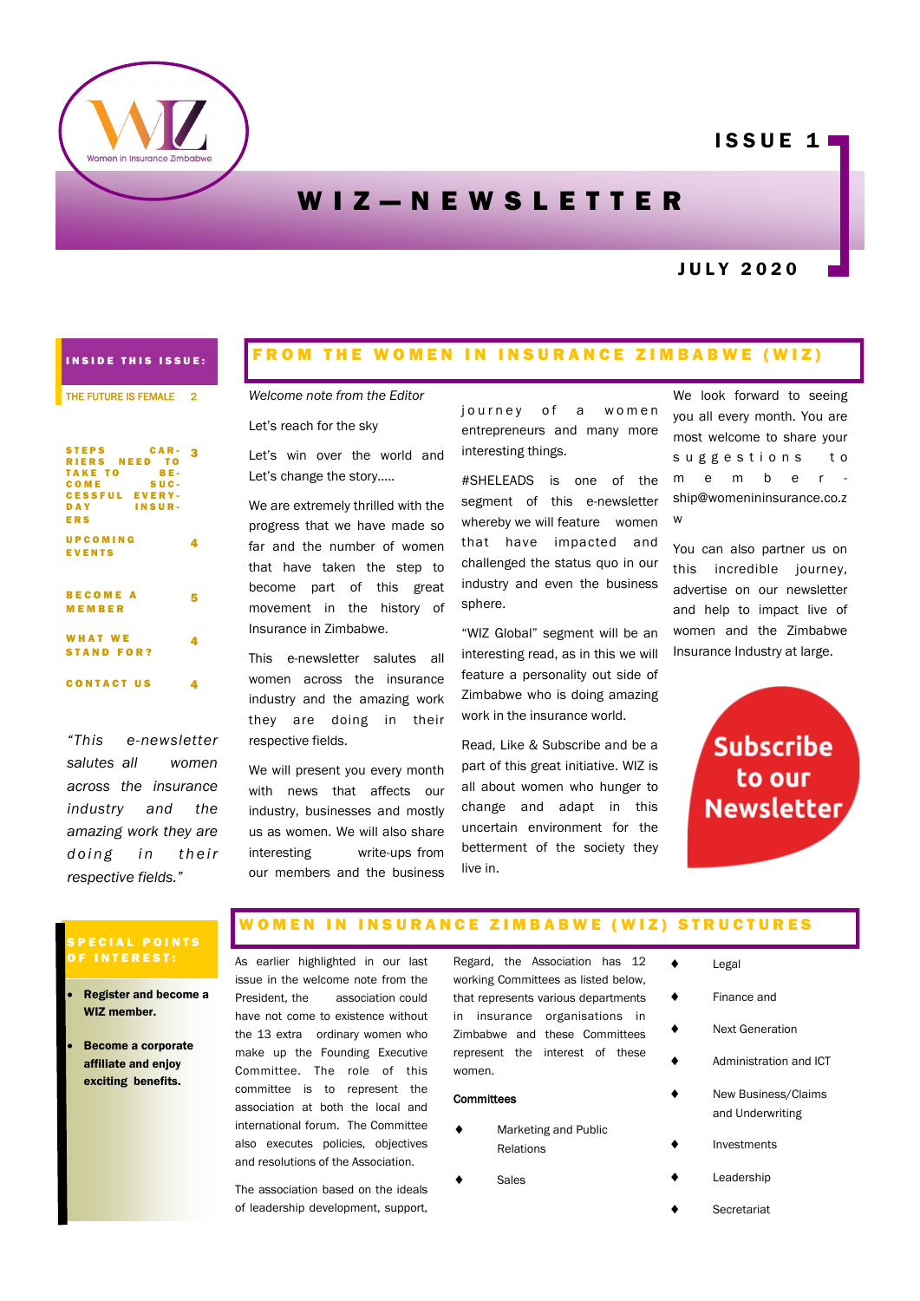

# **ISSUE 11**

# W I Z - N E W S L E T T E R

## J U L Y 2 0 2 0

## INSIDE THIS ISSUE:

#### THE FUTURE IS FEMALE 2

| <b>STEPS</b><br>CAR-  | 3 |
|-----------------------|---|
| RIERS NEED TO         |   |
| TAKE TO<br>BE-        |   |
| SUC-<br>COME          |   |
| <b>CESSFUL EVERY-</b> |   |
| DAY INSUR-            |   |
| <b>ERS</b>            |   |
|                       |   |
| UPCOMING              |   |
| <b>EVENTS</b>         |   |
|                       |   |
|                       |   |
| <b>BECOME A</b>       | 5 |
| <b>MEMBER</b>         |   |
|                       |   |
|                       |   |
| <b>WHAT WE</b>        |   |
| <b>STAND FOR?</b>     |   |
|                       |   |
| <b>CONTACT US</b>     | 4 |
|                       |   |

*"This e-newsletter salutes all women across the insurance industry and the amazing work they are doing in their respective fields."*

## FROM THE WOMEN IN INSURANCE ZIMBABWE (WIZ)

*Welcome note from the Editor*

Let's reach for the sky

Let's win over the world and Let's change the story…..

We are extremely thrilled with the progress that we have made so far and the number of women that have taken the step to become part of this great movement in the history of Insurance in Zimbabwe.

This e-newsletter salutes all women across the insurance industry and the amazing work they are doing in their respective fields.

We will present you every month with news that affects our industry, businesses and mostly us as women. We will also share interesting write-ups from our members and the business journey of a women entrepreneurs and many more interesting things.

#SHELEADS is one of the segment of this e-newsletter whereby we will feature women that have impacted and challenged the status quo in our industry and even the business sphere.

"WIZ Global" segment will be an interesting read, as in this we will feature a personality out side of Zimbabwe who is doing amazing work in the insurance world.

Read, Like & Subscribe and be a part of this great initiative. WIZ is all about women who hunger to change and adapt in this uncertain environment for the betterment of the society they live in.

We look forward to seeing you all every month. You are most welcome to share your suggestions to m e m b e r ship@womenininsurance.co.z w

You can also partner us on this incredible journey, advertise on our newsletter and help to impact live of women and the Zimbabwe Insurance Industry at large.

> **Subscribe** to our **Newsletter**

## PECIAL POINTS INTEREST:

- Register and become a WIZ member.
- Become a corporate affiliate and enjoy exciting benefits.

#### W O M E N I N IN SURANCE ZIMBABWE (WIZ) STRUCTURES

As earlier highlighted in our last issue in the welcome note from the President, the association could have not come to existence without the 13 extra ordinary women who make up the Founding Executive Committee. The role of this committee is to represent the association at both the local and international forum. The Committee also executes policies, objectives and resolutions of the Association.

The association based on the ideals of leadership development, support,

Regard, the Association has 12 working Committees as listed below, that represents various departments in insurance organisations in Zimbabwe and these Committees represent the interest of these women.

### **Committees**

- Marketing and Public Relations
- Sales
- 
- ◆ Legal
- ◆ Finance and
	- Next Generation
	- Administration and ICT
- New Business/Claims and Underwriting
- Investments
- Leadership
- **Secretariat**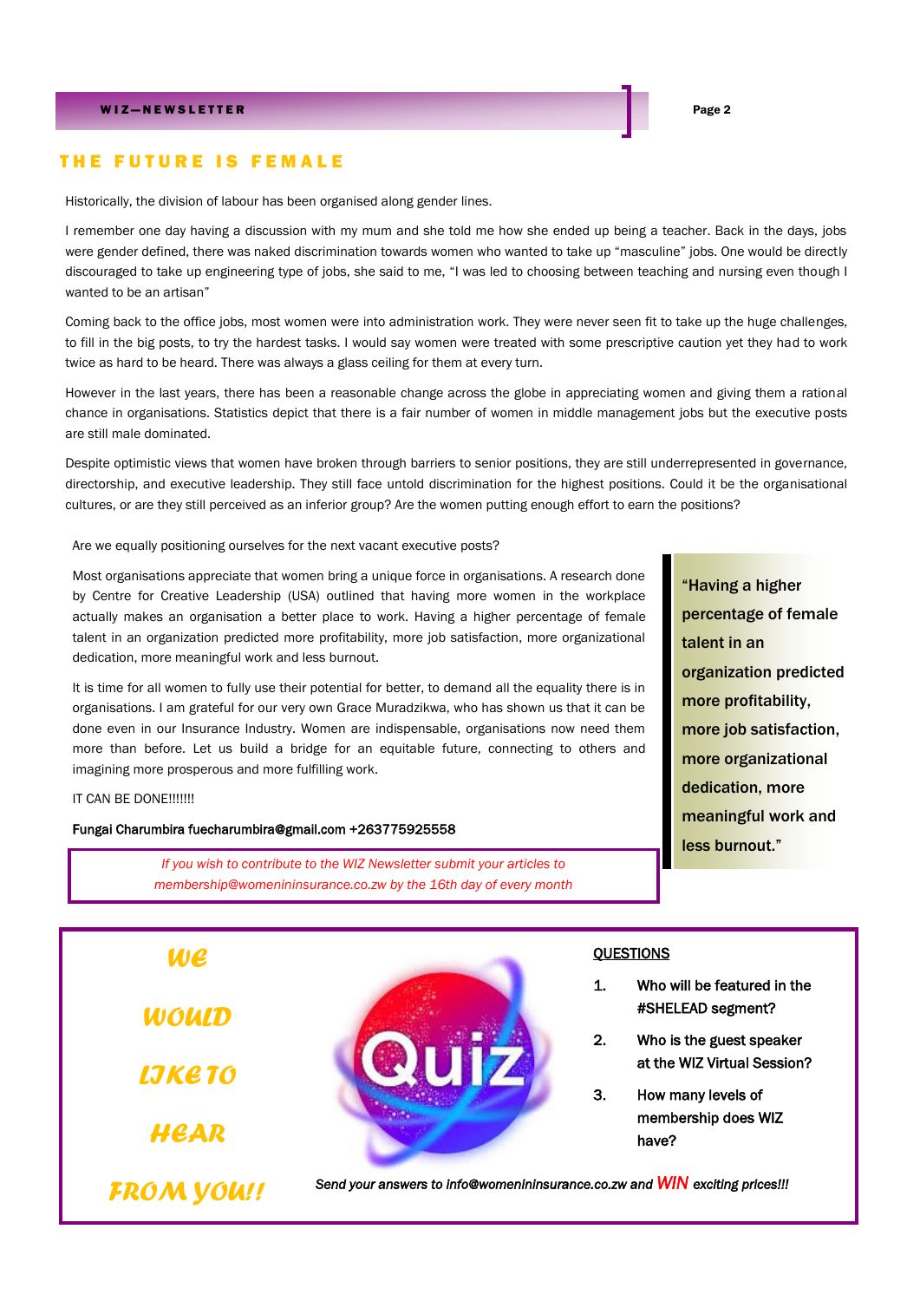## THE FUTURE IS FEMALE

Historically, the division of labour has been organised along gender lines.

I remember one day having a discussion with my mum and she told me how she ended up being a teacher. Back in the days, jobs were gender defined, there was naked discrimination towards women who wanted to take up "masculine" jobs. One would be directly discouraged to take up engineering type of jobs, she said to me, "I was led to choosing between teaching and nursing even though I wanted to be an artisan"

Coming back to the office jobs, most women were into administration work. They were never seen fit to take up the huge challenges, to fill in the big posts, to try the hardest tasks. I would say women were treated with some prescriptive caution yet they had to work twice as hard to be heard. There was always a glass ceiling for them at every turn.

However in the last years, there has been a reasonable change across the globe in appreciating women and giving them a rational chance in organisations. Statistics depict that there is a fair number of women in middle management jobs but the executive posts are still male dominated.

Despite optimistic views that women have broken through barriers to senior positions, they are still underrepresented in governance, directorship, and executive leadership. They still face untold discrimination for the highest positions. Could it be the organisational cultures, or are they still perceived as an inferior group? Are the women putting enough effort to earn the positions?

Are we equally positioning ourselves for the next vacant executive posts?

Most organisations appreciate that women bring a unique force in organisations. A research done by Centre for Creative Leadership (USA) outlined that having more women in the workplace actually makes an organisation a better place to work. Having a higher percentage of female talent in an organization predicted more profitability, more job satisfaction, more organizational dedication, more meaningful work and less burnout.

It is time for all women to fully use their potential for better, to demand all the equality there is in organisations. I am grateful for our very own Grace Muradzikwa, who has shown us that it can be done even in our Insurance Industry. Women are indispensable, organisations now need them more than before. Let us build a bridge for an equitable future, connecting to others and imagining more prosperous and more fulfilling work.

### IT CAN BE DONE!!!!!!!

Fungai Charumbira fuecharumbira@gmail.com +263775925558

*If you wish to contribute to the WIZ Newsletter submit your articles to membership@womenininsurance.co.zw by the 16th day of every month*

"Having a higher percentage of female talent in an organization predicted more profitability, more job satisfaction, more organizational dedication, more meaningful work and less burnout."

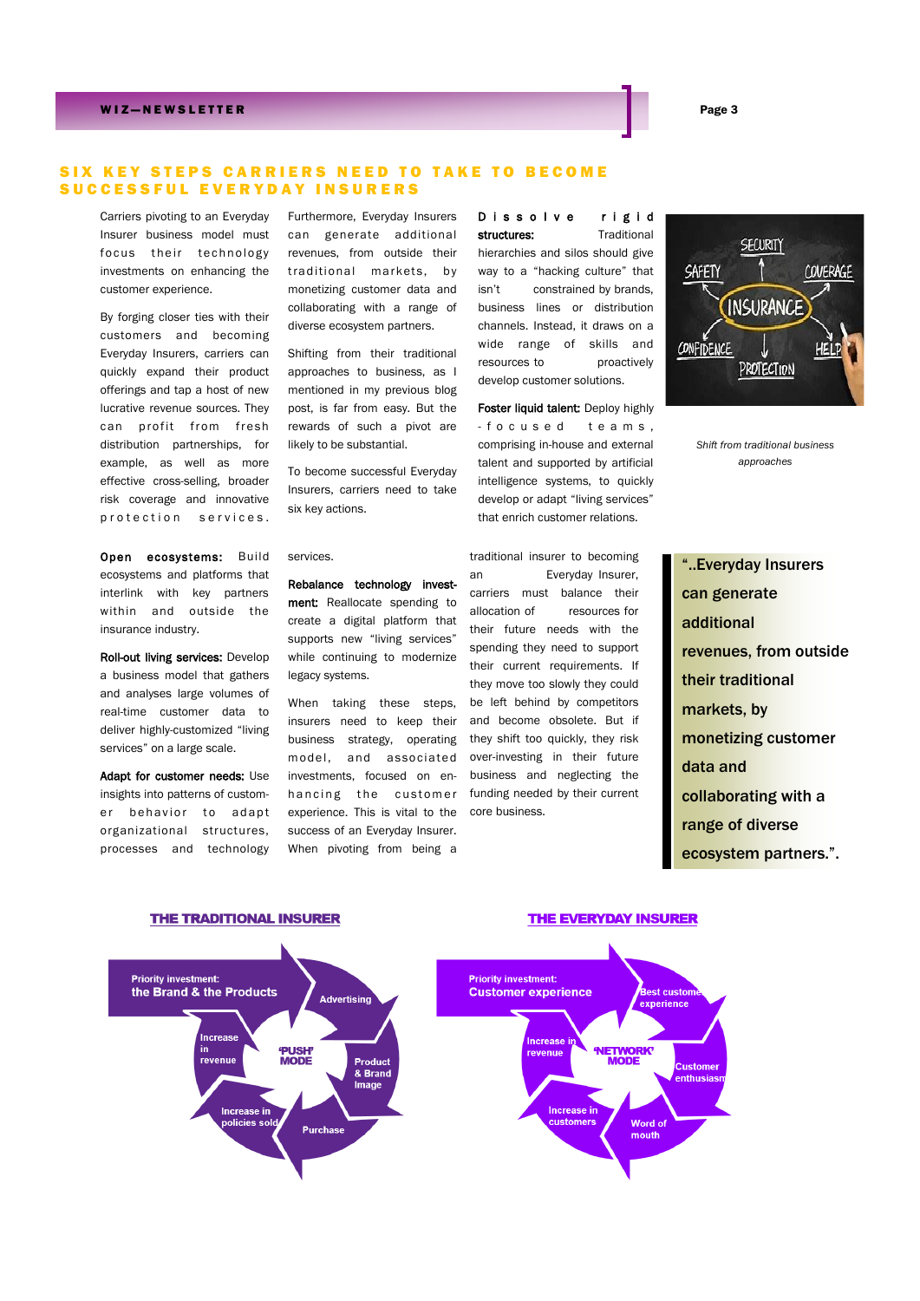## W I Z — N E W S L E T T E R Page 3

## SIX KEY STEPS CARRIERS NEED TO TAKE TO BECOME SUCCESSFUL EVERYDAY INSURERS

Carriers pivoting to an Everyday Insurer business model must focus their technology investments on enhancing the customer experience.

By forging closer ties with their customers and becoming Everyday Insurers, carriers can quickly expand their product offerings and tap a host of new lucrative revenue sources. They can profit from fresh distribution partnerships, for example, as well as more effective cross-selling, broader risk coverage and innovative protection services.

Open ecosystems: Build ecosystems and platforms that interlink with key partners within and outside the insurance industry.

Roll-out living services: Develop a business model that gathers and analyses large volumes of real-time customer data to deliver highly-customized "living services" on a large scale.

Adapt for customer needs: Use insights into patterns of customer behavior to adapt organizational structures, processes and technology

Furthermore, Everyday Insurers can generate additional revenues, from outside their traditional markets, by monetizing customer data and collaborating with a range of diverse ecosystem partners.

Shifting from their traditional approaches to business, as I mentioned in my previous blog post, is far from easy. But the rewards of such a pivot are likely to be substantial.

To become successful Everyday Insurers, carriers need to take six key actions.

services.

Rebalance technology investment: Reallocate spending to create a digital platform that supports new "living services" while continuing to modernize legacy systems.

When taking these steps, insurers need to keep their business strategy, operating m odel, and associated investments, focused on enhancing the customer experience. This is vital to the success of an Everyday Insurer. When pivoting from being a

D is solve rigid structures: Traditional hierarchies and silos should give way to a "hacking culture" that isn't constrained by brands, business lines or distribution channels. Instead, it draws on a wide range of skills and resources to proactively develop customer solutions.

Foster liquid talent: Deploy highly - fo cused teams. comprising in-house and external talent and supported by artificial intelligence systems, to quickly develop or adapt "living services" that enrich customer relations.

traditional insurer to becoming an Everyday Insurer, carriers must balance their allocation of resources for their future needs with the spending they need to support their current requirements. If they move too slowly they could be left behind by competitors and become obsolete. But if they shift too quickly, they risk over-investing in their future business and neglecting the funding needed by their current core business.



*Shift from traditional business approaches*

"..Everyday Insurers can generate additional revenues, from outside their traditional markets, by monetizing customer data and collaborating with a range of diverse ecosystem partners.".



**THE TRADITIONAL INSURER** 

## **THE EVERYDAY INSURER**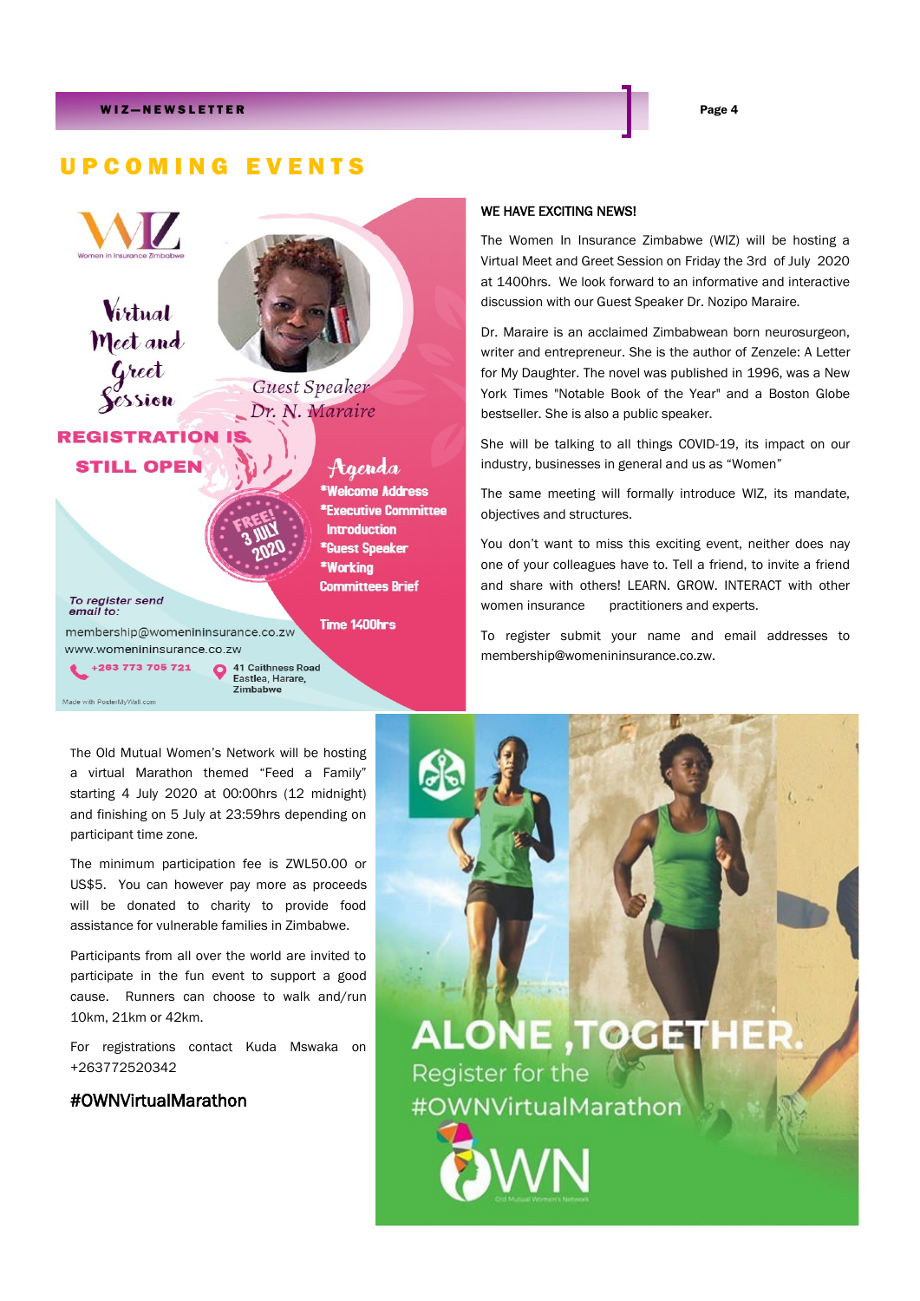# U P C O M I N G E V E N T S



Made with PosterMyWall.com

● 41 Caithness Road<br>Eastlea, Harare,<br>Zimbabwe

The Old Mutual Women's Network will be hosting a virtual Marathon themed "Feed a Family" starting 4 July 2020 at 00:00hrs (12 midnight) and finishing on 5 July at 23:59hrs depending on participant time zone.

The minimum participation fee is ZWL50.00 or US\$5. You can however pay more as proceeds will be donated to charity to provide food assistance for vulnerable families in Zimbabwe.

Participants from all over the world are invited to participate in the fun event to support a good cause. Runners can choose to walk and/run 10km, 21km or 42km.

For registrations contact Kuda Mswaka on +263772520342

## #OWNVirtualMarathon

## WE HAVE EXCITING NEWS!

The Women In Insurance Zimbabwe (WIZ) will be hosting a Virtual Meet and Greet Session on Friday the 3rd of July 2020 at 1400hrs. We look forward to an informative and interactive discussion with our Guest Speaker Dr. Nozipo Maraire.

Dr. Maraire is an acclaimed Zimbabwean born neurosurgeon, writer and entrepreneur. She is the author of Zenzele: A Letter for My Daughter. The novel was published in 1996, was a New York Times "Notable Book of the Year" and a Boston Globe bestseller. She is also a public speaker.

She will be talking to all things COVID-19, its impact on our industry, businesses in general and us as "Women"

The same meeting will formally introduce WIZ, its mandate, objectives and structures.

You don't want to miss this exciting event, neither does nay one of your colleagues have to. Tell a friend, to invite a friend and share with others! LEARN. GROW. INTERACT with other women insurance practitioners and experts.

To register submit your name and email addresses to membership@womenininsurance.co.zw.

**ALONE, TOGETHE** Register for the #OWNVirtualMarathon